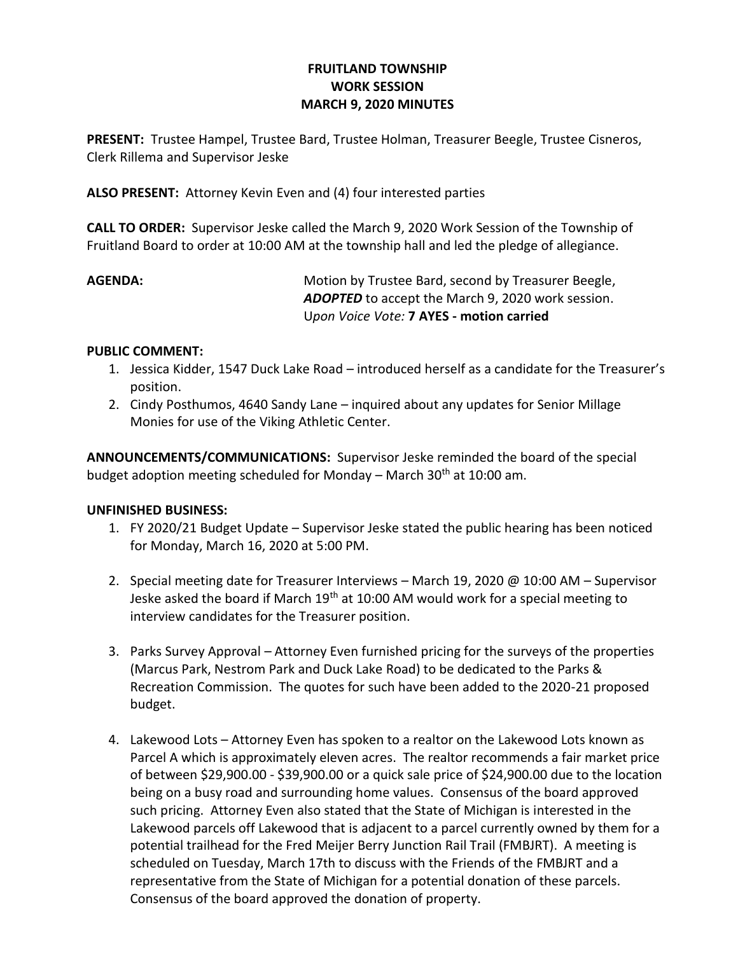# **FRUITLAND TOWNSHIP WORK SESSION MARCH 9, 2020 MINUTES**

**PRESENT:** Trustee Hampel, Trustee Bard, Trustee Holman, Treasurer Beegle, Trustee Cisneros, Clerk Rillema and Supervisor Jeske

**ALSO PRESENT:** Attorney Kevin Even and (4) four interested parties

**CALL TO ORDER:** Supervisor Jeske called the March 9, 2020 Work Session of the Township of Fruitland Board to order at 10:00 AM at the township hall and led the pledge of allegiance.

**AGENDA:** Motion by Trustee Bard, second by Treasurer Beegle, *ADOPTED* to accept the March 9, 2020 work session. U*pon Voice Vote:* **7 AYES - motion carried**

### **PUBLIC COMMENT:**

- 1. Jessica Kidder, 1547 Duck Lake Road introduced herself as a candidate for the Treasurer's position.
- 2. Cindy Posthumos, 4640 Sandy Lane inquired about any updates for Senior Millage Monies for use of the Viking Athletic Center.

**ANNOUNCEMENTS/COMMUNICATIONS:** Supervisor Jeske reminded the board of the special budget adoption meeting scheduled for Monday – March  $30<sup>th</sup>$  at 10:00 am.

# **UNFINISHED BUSINESS:**

- 1. FY 2020/21 Budget Update Supervisor Jeske stated the public hearing has been noticed for Monday, March 16, 2020 at 5:00 PM.
- 2. Special meeting date for Treasurer Interviews March 19, 2020 @ 10:00 AM Supervisor Jeske asked the board if March 19<sup>th</sup> at 10:00 AM would work for a special meeting to interview candidates for the Treasurer position.
- 3. Parks Survey Approval Attorney Even furnished pricing for the surveys of the properties (Marcus Park, Nestrom Park and Duck Lake Road) to be dedicated to the Parks & Recreation Commission. The quotes for such have been added to the 2020-21 proposed budget.
- 4. Lakewood Lots Attorney Even has spoken to a realtor on the Lakewood Lots known as Parcel A which is approximately eleven acres. The realtor recommends a fair market price of between \$29,900.00 - \$39,900.00 or a quick sale price of \$24,900.00 due to the location being on a busy road and surrounding home values. Consensus of the board approved such pricing. Attorney Even also stated that the State of Michigan is interested in the Lakewood parcels off Lakewood that is adjacent to a parcel currently owned by them for a potential trailhead for the Fred Meijer Berry Junction Rail Trail (FMBJRT). A meeting is scheduled on Tuesday, March 17th to discuss with the Friends of the FMBJRT and a representative from the State of Michigan for a potential donation of these parcels. Consensus of the board approved the donation of property.